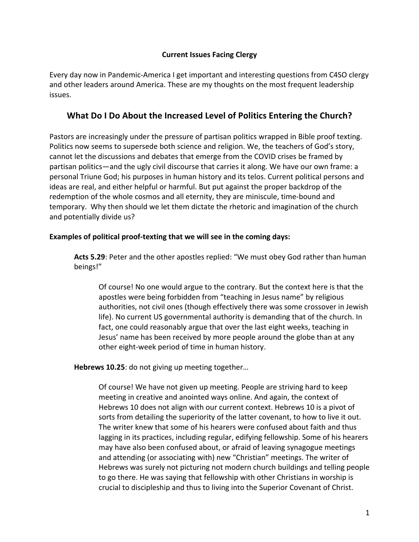### **Current Issues Facing Clergy**

Every day now in Pandemic-America I get important and interesting questions from C4SO clergy and other leaders around America. These are my thoughts on the most frequent leadership issues.

### **What Do I Do About the Increased Level of Politics Entering the Church?**

Pastors are increasingly under the pressure of partisan politics wrapped in Bible proof texting. Politics now seems to supersede both science and religion. We, the teachers of God's story, cannot let the discussions and debates that emerge from the COVID crises be framed by partisan politics—and the ugly civil discourse that carries it along. We have our own frame: a personal Triune God; his purposes in human history and its telos. Current political persons and ideas are real, and either helpful or harmful. But put against the proper backdrop of the redemption of the whole cosmos and all eternity, they are miniscule, time-bound and temporary. Why then should we let them dictate the rhetoric and imagination of the church and potentially divide us?

#### **Examples of political proof-texting that we will see in the coming days:**

**Acts 5.29**: Peter and the other apostles replied: "We must obey God rather than human beings!"

Of course! No one would argue to the contrary. But the context here is that the apostles were being forbidden from "teaching in Jesus name" by religious authorities, not civil ones (though effectively there was some crossover in Jewish life). No current US governmental authority is demanding that of the church. In fact, one could reasonably argue that over the last eight weeks, teaching in Jesus' name has been received by more people around the globe than at any other eight-week period of time in human history.

**Hebrews 10.25**: do not giving up meeting together…

Of course! We have not given up meeting. People are striving hard to keep meeting in creative and anointed ways online. And again, the context of Hebrews 10 does not align with our current context. Hebrews 10 is a pivot of sorts from detailing the superiority of the latter covenant, to how to live it out. The writer knew that some of his hearers were confused about faith and thus lagging in its practices, including regular, edifying fellowship. Some of his hearers may have also been confused about, or afraid of leaving synagogue meetings and attending (or associating with) new "Christian" meetings. The writer of Hebrews was surely not picturing not modern church buildings and telling people to go there. He was saying that fellowship with other Christians in worship is crucial to discipleship and thus to living into the Superior Covenant of Christ.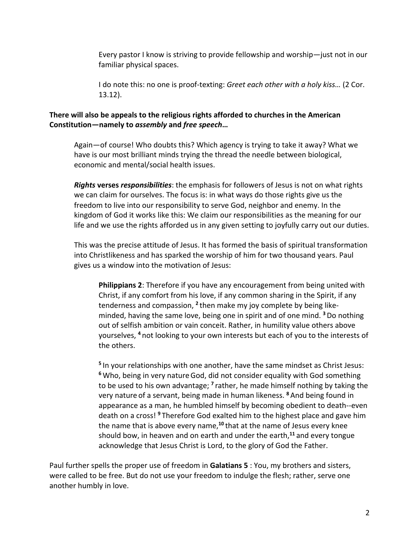Every pastor I know is striving to provide fellowship and worship—just not in our familiar physical spaces.

I do note this: no one is proof-texting: *Greet each other with a holy kiss…* (2 Cor. 13.12).

### **There will also be appeals to the religious rights afforded to churches in the American Constitution—namely to** *assembly* **and** *free speech***…**

Again—of course! Who doubts this? Which agency is trying to take it away? What we have is our most brilliant minds trying the thread the needle between biological, economic and mental/social health issues.

*Rights* **verses** *responsibilities*: the emphasis for followers of Jesus is not on what rights we can claim for ourselves. The focus is: in what ways do those rights give us the freedom to live into our responsibility to serve God, neighbor and enemy. In the kingdom of God it works like this: We claim our responsibilities as the meaning for our life and we use the rights afforded us in any given setting to joyfully carry out our duties.

This was the precise attitude of Jesus. It has formed the basis of spiritual transformation into Christlikeness and has sparked the worship of him for two thousand years. Paul gives us a window into the motivation of Jesus:

**Philippians 2**: Therefore if you have any encouragement from being united with Christ, if any comfort from his love, if any common sharing in the Spirit, if any tenderness and compassion, **<sup>2</sup>** then make my joy complete by being likeminded, having the same love, being one in spirit and of one mind. **<sup>3</sup>** Do nothing out of selfish ambition or vain conceit. Rather, in humility value others above yourselves, **<sup>4</sup>** not looking to your own interests but each of you to the interests of the others.

**<sup>5</sup>** In your relationships with one another, have the same mindset as Christ Jesus: <sup>6</sup> Who, being in very nature God, did not consider equality with God something to be used to his own advantage; **<sup>7</sup>** rather, he made himself nothing by taking the very nature of a servant, being made in human likeness. **<sup>8</sup>** And being found in appearance as a man, he humbled himself by becoming obedient to death--even death on a cross! **<sup>9</sup>** Therefore God exalted him to the highest place and gave him the name that is above every name,<sup>10</sup> that at the name of Jesus every knee should bow, in heaven and on earth and under the earth,**<sup>11</sup>** and every tongue acknowledge that Jesus Christ is Lord, to the glory of God the Father.

Paul further spells the proper use of freedom in **Galatians 5** : You, my brothers and sisters, were called to be free. But do not use your freedom to indulge the flesh; rather, serve one another humbly in love.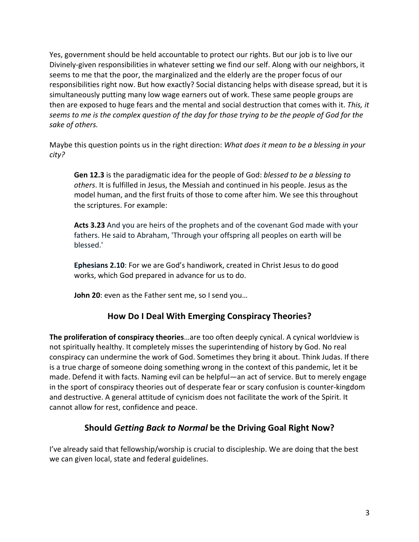Yes, government should be held accountable to protect our rights. But our job is to live our Divinely-given responsibilities in whatever setting we find our self. Along with our neighbors, it seems to me that the poor, the marginalized and the elderly are the proper focus of our responsibilities right now. But how exactly? Social distancing helps with disease spread, but it is simultaneously putting many low wage earners out of work. These same people groups are then are exposed to huge fears and the mental and social destruction that comes with it. *This, it seems to me is the complex question of the day for those trying to be the people of God for the sake of others.*

Maybe this question points us in the right direction: *What does it mean to be a blessing in your city?*

**Gen 12.3** is the paradigmatic idea for the people of God: *blessed to be a blessing to others*. It is fulfilled in Jesus, the Messiah and continued in his people. Jesus as the model human, and the first fruits of those to come after him. We see this throughout the scriptures. For example:

**Acts 3.23** And you are heirs of the prophets and of the covenant God made with your fathers. He said to Abraham, 'Through your offspring all peoples on earth will be blessed.'

**Ephesians 2.10**: For we are God's handiwork, created in Christ Jesus to do good works, which God prepared in advance for us to do.

**John 20**: even as the Father sent me, so I send you…

# **How Do I Deal With Emerging Conspiracy Theories?**

**The proliferation of conspiracy theories**…are too often deeply cynical. A cynical worldview is not spiritually healthy. It completely misses the superintending of history by God. No real conspiracy can undermine the work of God. Sometimes they bring it about. Think Judas. If there is a true charge of someone doing something wrong in the context of this pandemic, let it be made. Defend it with facts. Naming evil can be helpful—an act of service. But to merely engage in the sport of conspiracy theories out of desperate fear or scary confusion is counter-kingdom and destructive. A general attitude of cynicism does not facilitate the work of the Spirit. It cannot allow for rest, confidence and peace.

# **Should** *Getting Back to Normal* **be the Driving Goal Right Now?**

I've already said that fellowship/worship is crucial to discipleship. We are doing that the best we can given local, state and federal guidelines.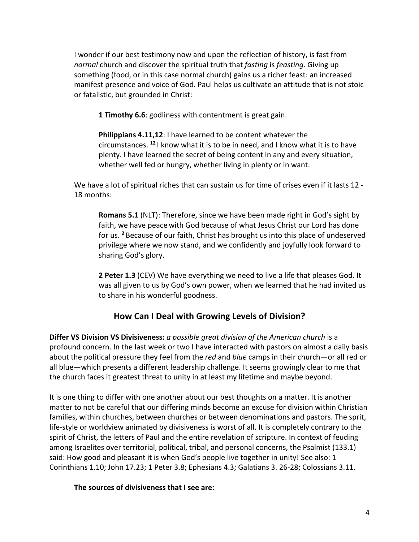I wonder if our best testimony now and upon the reflection of history, is fast from *normal* church and discover the spiritual truth that *fasting* is *feasting*. Giving up something (food, or in this case normal church) gains us a richer feast: an increased manifest presence and voice of God. Paul helps us cultivate an attitude that is not stoic or fatalistic, but grounded in Christ:

**1 Timothy 6.6**: godliness with contentment is great gain.

**Philippians 4.11,12**: I have learned to be content whatever the circumstances. **<sup>12</sup>** I know what it is to be in need, and I know what it is to have plenty. I have learned the secret of being content in any and every situation, whether well fed or hungry, whether living in plenty or in want.

We have a lot of spiritual riches that can sustain us for time of crises even if it lasts 12 -18 months:

**Romans 5.1** (NLT): Therefore, since we have been made right in God's sight by faith, we have peace with God because of what Jesus Christ our Lord has done for us. **<sup>2</sup>** Because of our faith, Christ has brought us into this place of undeserved privilege where we now stand, and we confidently and joyfully look forward to sharing God's glory.

**2 Peter 1.3** (CEV) We have everything we need to live a life that pleases God. It was all given to us by God's own power, when we learned that he had invited us to share in his wonderful goodness.

## **How Can I Deal with Growing Levels of Division?**

**Differ VS Division VS Divisiveness:** *a possible great division of the American church* is a profound concern. In the last week or two I have interacted with pastors on almost a daily basis about the political pressure they feel from the *red* and *blue* camps in their church—or all red or all blue—which presents a different leadership challenge. It seems growingly clear to me that the church faces it greatest threat to unity in at least my lifetime and maybe beyond.

It is one thing to differ with one another about our best thoughts on a matter. It is another matter to not be careful that our differing minds become an excuse for division within Christian families, within churches, between churches or between denominations and pastors. The sprit, life-style or worldview animated by divisiveness is worst of all. It is completely contrary to the spirit of Christ, the letters of Paul and the entire revelation of scripture. In context of feuding among Israelites over territorial, political, tribal, and personal concerns, the Psalmist (133.1) said: How good and pleasant it is when God's people live together in unity! See also: 1 Corinthians 1.10; John 17.23; 1 Peter 3.8; Ephesians 4.3; Galatians 3. 26-28; Colossians 3.11.

**The sources of divisiveness that I see are**: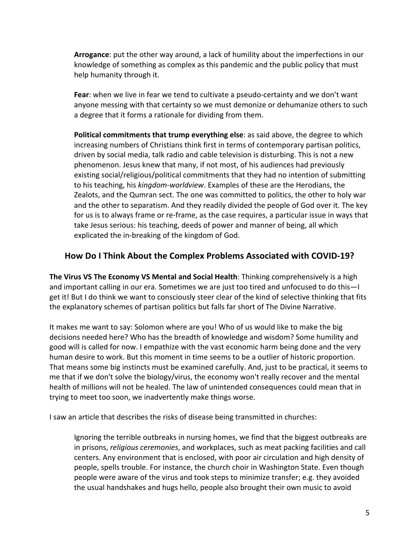**Arrogance**: put the other way around, a lack of humility about the imperfections in our knowledge of something as complex as this pandemic and the public policy that must help humanity through it.

**Fear**: when we live in fear we tend to cultivate a pseudo-certainty and we don't want anyone messing with that certainty so we must demonize or dehumanize others to such a degree that it forms a rationale for dividing from them.

**Political commitments that trump everything else**: as said above, the degree to which increasing numbers of Christians think first in terms of contemporary partisan politics, driven by social media, talk radio and cable television is disturbing. This is not a new phenomenon. Jesus knew that many, if not most, of his audiences had previously existing social/religious/political commitments that they had no intention of submitting to his teaching, his *kingdom-worldview*. Examples of these are the Herodians, the Zealots, and the Qumran sect. The one was committed to politics, the other to holy war and the other to separatism. And they readily divided the people of God over it. The key for us is to always frame or re-frame, as the case requires, a particular issue in ways that take Jesus serious: his teaching, deeds of power and manner of being, all which explicated the in-breaking of the kingdom of God.

### **How Do I Think About the Complex Problems Associated with COVID-19?**

**The Virus VS The Economy VS Mental and Social Health**: Thinking comprehensively is a high and important calling in our era. Sometimes we are just too tired and unfocused to do this—I get it! But I do think we want to consciously steer clear of the kind of selective thinking that fits the explanatory schemes of partisan politics but falls far short of The Divine Narrative.

It makes me want to say: Solomon where are you! Who of us would like to make the big decisions needed here? Who has the breadth of knowledge and wisdom? Some humility and good will is called for now. I empathize with the vast economic harm being done and the very human desire to work. But this moment in time seems to be a outlier of historic proportion. That means some big instincts must be examined carefully. And, just to be practical, it seems to me that if we don't solve the biology/virus, the economy won't really recover and the mental health of millions will not be healed. The law of unintended consequences could mean that in trying to meet too soon, we inadvertently make things worse.

I saw an article that describes the risks of disease being transmitted in churches:

Ignoring the terrible outbreaks in nursing homes, we find that the biggest outbreaks are in prisons, *religious ceremonies*, and workplaces, such as meat packing facilities and call centers. Any environment that is enclosed, with poor air circulation and high density of people, spells trouble. For instance, the church choir in Washington State. Even though people were aware of the virus and took steps to minimize transfer; e.g. they avoided the usual handshakes and hugs hello, people also brought their own music to avoid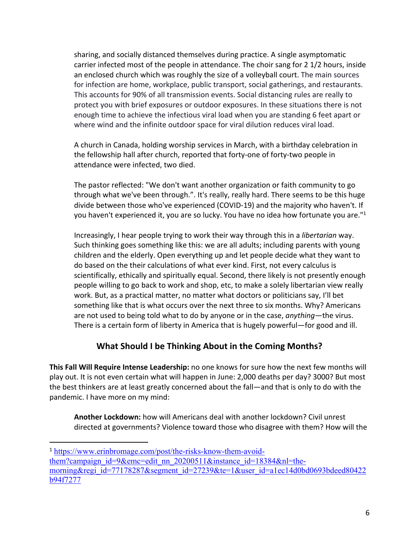sharing, and socially distanced themselves during practice. A single asymptomatic carrier infected most of the people in attendance. The choir sang for 2 1/2 hours, inside an enclosed church which was roughly the size of a volleyball court. The main sources for infection are home, workplace, public transport, social gatherings, and restaurants. This accounts for 90% of all transmission events. Social distancing rules are really to protect you with brief exposures or outdoor exposures. In these situations there is not enough time to achieve the infectious viral load when you are standing 6 feet apart or where wind and the infinite outdoor space for viral dilution reduces viral load.

A church in Canada, holding worship services in March, with a birthday celebration in the fellowship hall after church, reported that forty-one of forty-two people in attendance were infected, two died.

The pastor reflected: "We don't want another organization or faith community to go through what we've been through.". It's really, really hard. There seems to be this huge divide between those who've experienced (COVID-19) and the majority who haven't. If you haven't experienced it, you are so lucky. You have no idea how fortunate you are."1

Increasingly, I hear people trying to work their way through this in a *libertarian* way. Such thinking goes something like this: we are all adults; including parents with young children and the elderly. Open everything up and let people decide what they want to do based on the their calculations of what ever kind. First, not every calculus is scientifically, ethically and spiritually equal. Second, there likely is not presently enough people willing to go back to work and shop, etc, to make a solely libertarian view really work. But, as a practical matter, no matter what doctors or politicians say, I'll bet something like that is what occurs over the next three to six months. Why? Americans are not used to being told what to do by anyone or in the case, *anything*—the virus. There is a certain form of liberty in America that is hugely powerful—for good and ill.

## **What Should I be Thinking About in the Coming Months?**

**This Fall Will Require Intense Leadership:** no one knows for sure how the next few months will play out. It is not even certain what will happen in June: 2,000 deaths per day? 3000? But most the best thinkers are at least greatly concerned about the fall—and that is only to do with the pandemic. I have more on my mind:

**Another Lockdown:** how will Americans deal with another lockdown? Civil unrest directed at governments? Violence toward those who disagree with them? How will the

<sup>1</sup> https://www.erinbromage.com/post/the-risks-know-them-avoidthem?campaign\_id=9&emc=edit\_nn\_20200511&instance\_id=18384&nl=the-

morning&regi\_id=77178287&segment\_id=27239&te=1&user\_id=a1ec14d0bd0693bdeed80422 b94f7277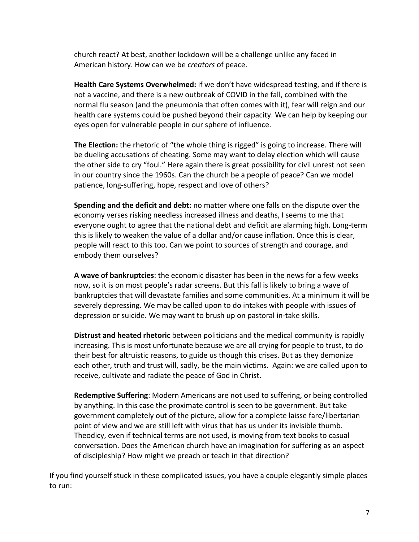church react? At best, another lockdown will be a challenge unlike any faced in American history. How can we be *creators* of peace.

**Health Care Systems Overwhelmed:** if we don't have widespread testing, and if there is not a vaccine, and there is a new outbreak of COVID in the fall, combined with the normal flu season (and the pneumonia that often comes with it), fear will reign and our health care systems could be pushed beyond their capacity. We can help by keeping our eyes open for vulnerable people in our sphere of influence.

**The Election:** the rhetoric of "the whole thing is rigged" is going to increase. There will be dueling accusations of cheating. Some may want to delay election which will cause the other side to cry "foul." Here again there is great possibility for civil unrest not seen in our country since the 1960s. Can the church be a people of peace? Can we model patience, long-suffering, hope, respect and love of others?

**Spending and the deficit and debt:** no matter where one falls on the dispute over the economy verses risking needless increased illness and deaths, I seems to me that everyone ought to agree that the national debt and deficit are alarming high. Long-term this is likely to weaken the value of a dollar and/or cause inflation. Once this is clear, people will react to this too. Can we point to sources of strength and courage, and embody them ourselves?

**A wave of bankruptcies**: the economic disaster has been in the news for a few weeks now, so it is on most people's radar screens. But this fall is likely to bring a wave of bankruptcies that will devastate families and some communities. At a minimum it will be severely depressing. We may be called upon to do intakes with people with issues of depression or suicide. We may want to brush up on pastoral in-take skills.

**Distrust and heated rhetoric** between politicians and the medical community is rapidly increasing. This is most unfortunate because we are all crying for people to trust, to do their best for altruistic reasons, to guide us though this crises. But as they demonize each other, truth and trust will, sadly, be the main victims. Again: we are called upon to receive, cultivate and radiate the peace of God in Christ.

**Redemptive Suffering**: Modern Americans are not used to suffering, or being controlled by anything. In this case the proximate control is seen to be government. But take government completely out of the picture, allow for a complete laisse fare/libertarian point of view and we are still left with virus that has us under its invisible thumb. Theodicy, even if technical terms are not used, is moving from text books to casual conversation. Does the American church have an imagination for suffering as an aspect of discipleship? How might we preach or teach in that direction?

If you find yourself stuck in these complicated issues, you have a couple elegantly simple places to run: